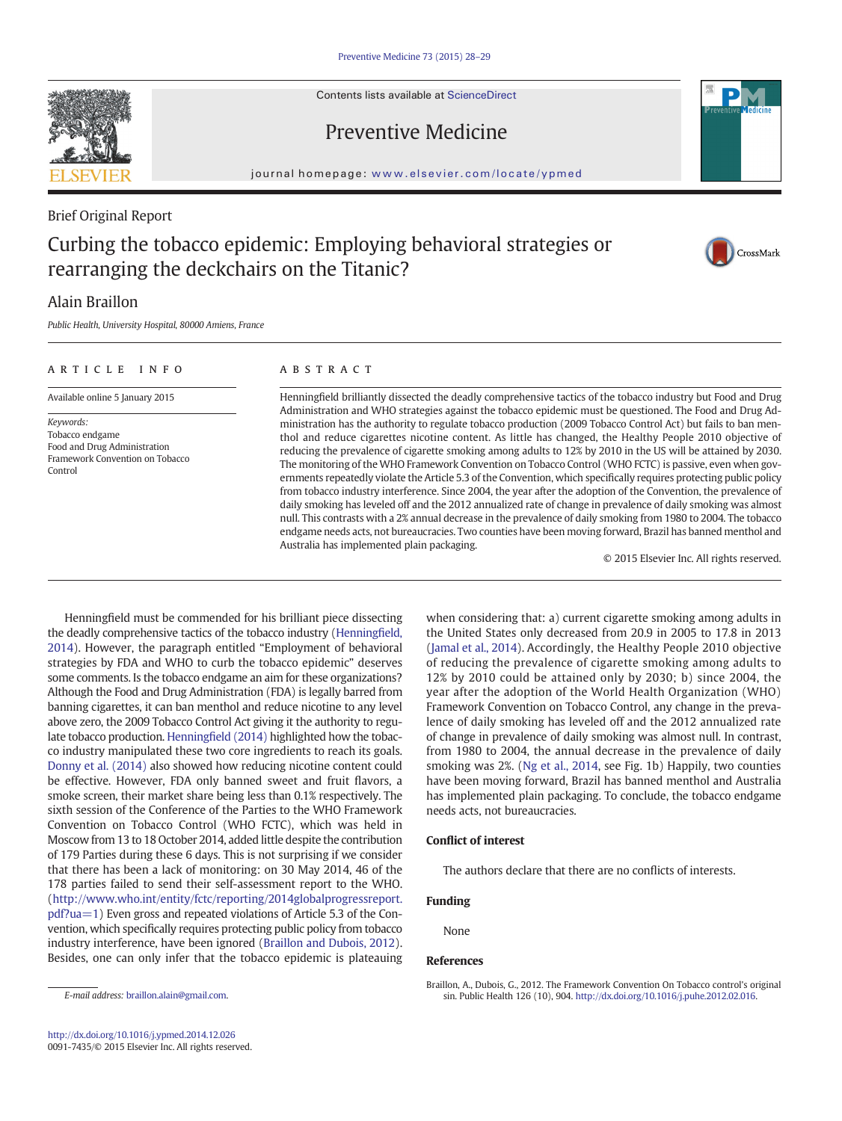Contents lists available at [ScienceDirect](http://www.sciencedirect.com/science/journal/00917435)



# Preventive Medicine

journal homepage: <www.elsevier.com/locate/ypmed>

## Brief Original Report

# Curbing the tobacco epidemic: Employing behavioral strategies or rearranging the deckchairs on the Titanic?



## Alain Braillon

Public Health, University Hospital, 80000 Amiens, France

### article info abstract

Available online 5 January 2015

Keywords: Tobacco endgame Food and Drug Administration Framework Convention on Tobacco Control

Henningfield brilliantly dissected the deadly comprehensive tactics of the tobacco industry but Food and Drug Administration and WHO strategies against the tobacco epidemic must be questioned. The Food and Drug Administration has the authority to regulate tobacco production (2009 Tobacco Control Act) but fails to ban menthol and reduce cigarettes nicotine content. As little has changed, the Healthy People 2010 objective of reducing the prevalence of cigarette smoking among adults to 12% by 2010 in the US will be attained by 2030. The monitoring of the WHO Framework Convention on Tobacco Control (WHO FCTC) is passive, even when governments repeatedly violate the Article 5.3 of the Convention, which specifically requires protecting public policy from tobacco industry interference. Since 2004, the year after the adoption of the Convention, the prevalence of daily smoking has leveled off and the 2012 annualized rate of change in prevalence of daily smoking was almost null. This contrasts with a 2% annual decrease in the prevalence of daily smoking from 1980 to 2004. The tobacco endgame needs acts, not bureaucracies. Two counties have been moving forward, Brazil has banned menthol and Australia has implemented plain packaging.

© 2015 Elsevier Inc. All rights reserved.

Henningfield must be commended for his brilliant piece dissecting the deadly comprehensive tactics of the tobacco industry ([Henning](#page-1-0)field, [2014\)](#page-1-0). However, the paragraph entitled "Employment of behavioral strategies by FDA and WHO to curb the tobacco epidemic" deserves some comments. Is the tobacco endgame an aim for these organizations? Although the Food and Drug Administration (FDA) is legally barred from banning cigarettes, it can ban menthol and reduce nicotine to any level above zero, the 2009 Tobacco Control Act giving it the authority to regulate tobacco production. Henningfi[eld \(2014\)](#page-1-0) highlighted how the tobacco industry manipulated these two core ingredients to reach its goals. [Donny et al. \(2014\)](#page-1-0) also showed how reducing nicotine content could be effective. However, FDA only banned sweet and fruit flavors, a smoke screen, their market share being less than 0.1% respectively. The sixth session of the Conference of the Parties to the WHO Framework Convention on Tobacco Control (WHO FCTC), which was held in Moscow from 13 to 18 October 2014, added little despite the contribution of 179 Parties during these 6 days. This is not surprising if we consider that there has been a lack of monitoring: on 30 May 2014, 46 of the 178 parties failed to send their self-assessment report to the WHO. [\(http://www.who.int/entity/fctc/reporting/2014globalprogressreport.](http://www.who.int/entity/fctc/reporting/2014globalprogressreport.pdf?ua=1) [pdf?ua=1\)](http://www.who.int/entity/fctc/reporting/2014globalprogressreport.pdf?ua=1) Even gross and repeated violations of Article 5.3 of the Convention, which specifically requires protecting public policy from tobacco industry interference, have been ignored (Braillon and Dubois, 2012). Besides, one can only infer that the tobacco epidemic is plateauing

when considering that: a) current cigarette smoking among adults in the United States only decreased from 20.9 in 2005 to 17.8 in 2013 [\(Jamal et al., 2014\)](#page-1-0). Accordingly, the Healthy People 2010 objective of reducing the prevalence of cigarette smoking among adults to 12% by 2010 could be attained only by 2030; b) since 2004, the year after the adoption of the World Health Organization (WHO) Framework Convention on Tobacco Control, any change in the prevalence of daily smoking has leveled off and the 2012 annualized rate of change in prevalence of daily smoking was almost null. In contrast, from 1980 to 2004, the annual decrease in the prevalence of daily smoking was 2%. ([Ng et al., 2014](#page-1-0), see Fig. 1b) Happily, two counties have been moving forward, Brazil has banned menthol and Australia has implemented plain packaging. To conclude, the tobacco endgame needs acts, not bureaucracies.

### Conflict of interest

The authors declare that there are no conflicts of interests.

#### Funding

None

#### References

Braillon, A., Dubois, G., 2012. The Framework Convention On Tobacco control's original sin. Public Health 126 (10), 904. http://dx.doi.org[/10.1016/j.puhe.2012.02.016.](http://dx.doi.org/10.1016/j.puhe.2012.02.016)

E-mail address: [braillon.alain@gmail.com](mailto:braillon.alain@gmail.com).